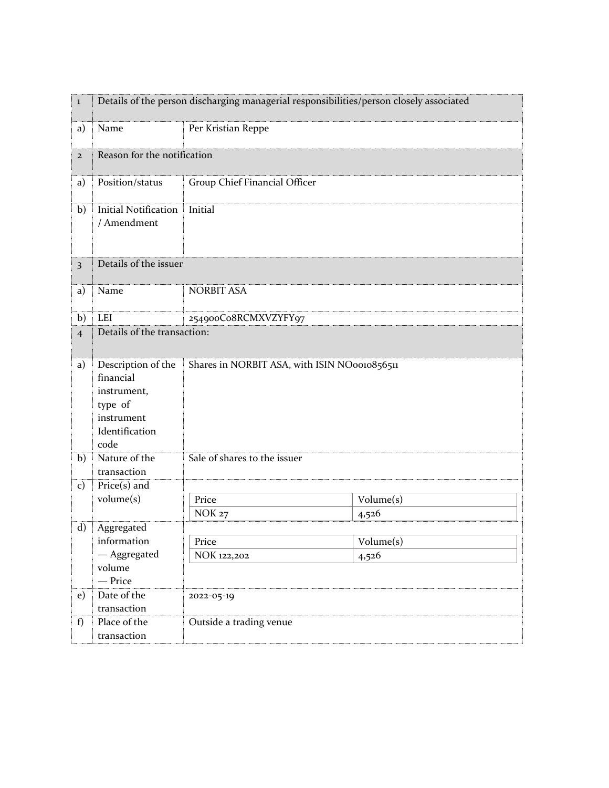| $\bf{l}$                | Details of the person discharging managerial responsibilities/person closely associated           |                                              |                               |  |  |
|-------------------------|---------------------------------------------------------------------------------------------------|----------------------------------------------|-------------------------------|--|--|
| a)                      | Name                                                                                              | Per Kristian Reppe                           |                               |  |  |
| $\mathbf{2}$            |                                                                                                   | Reason for the notification                  |                               |  |  |
| a)                      | Position/status                                                                                   | Group Chief Financial Officer                |                               |  |  |
| b)                      | <b>Initial Notification</b><br>/ Amendment                                                        | Initial                                      |                               |  |  |
| $\overline{\mathbf{3}}$ | Details of the issuer                                                                             |                                              |                               |  |  |
| a)                      | Name                                                                                              | <b>NORBIT ASA</b>                            |                               |  |  |
| b)                      | <b>LEI</b>                                                                                        | 254900Co8RCMXVZYFY97                         |                               |  |  |
| $\overline{4}$          | Details of the transaction:                                                                       |                                              |                               |  |  |
| a)                      | Description of the<br>financial<br>instrument,<br>type of<br>instrument<br>Identification<br>code | Shares in NORBIT ASA, with ISIN NO0010856511 |                               |  |  |
| b)                      | Nature of the<br>transaction                                                                      | Sale of shares to the issuer                 |                               |  |  |
| $\mathbf{c})$           | $Price(s)$ and                                                                                    |                                              |                               |  |  |
|                         | volume(s)                                                                                         | Price                                        | Volume(s)                     |  |  |
|                         |                                                                                                   | <b>NOK 27</b>                                | 4,526                         |  |  |
| $\mathbf{d}$            | Aggregated                                                                                        |                                              |                               |  |  |
|                         | information<br>- Aggregated                                                                       | Price                                        | $\overline{\text{Volume}}(s)$ |  |  |
|                         | volume                                                                                            | NOK 122,202                                  | 4,526                         |  |  |
|                         | - Price                                                                                           |                                              |                               |  |  |
| e)                      | Date of the                                                                                       | 2022-05-19                                   |                               |  |  |
|                         | transaction                                                                                       |                                              |                               |  |  |
| f)                      | Place of the                                                                                      | Outside a trading venue                      |                               |  |  |
|                         | transaction                                                                                       |                                              |                               |  |  |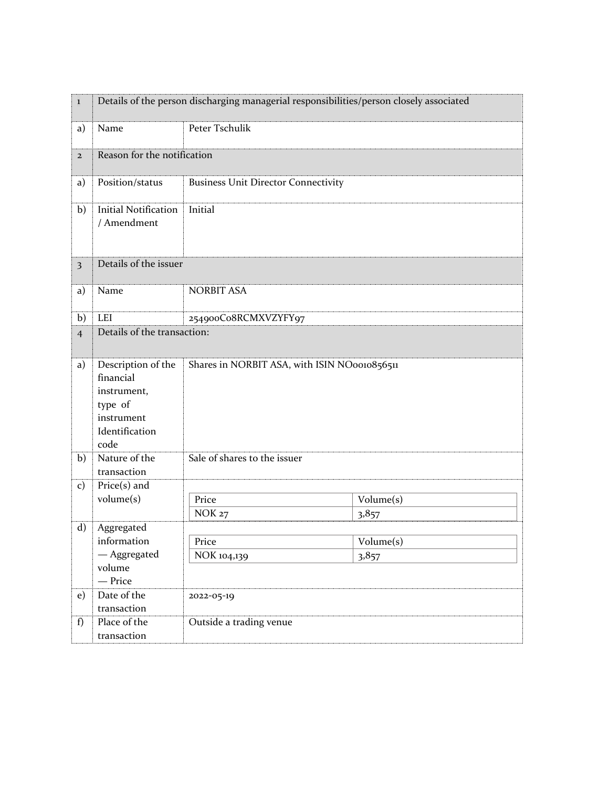| $\bf{l}$                | Details of the person discharging managerial responsibilities/person closely associated           |                                              |           |  |  |
|-------------------------|---------------------------------------------------------------------------------------------------|----------------------------------------------|-----------|--|--|
| a)                      | Name                                                                                              | Peter Tschulik                               |           |  |  |
| $\mathbf{2}$            |                                                                                                   | Reason for the notification                  |           |  |  |
| a)                      | Position/status                                                                                   | <b>Business Unit Director Connectivity</b>   |           |  |  |
| b)                      | <b>Initial Notification</b><br>/ Amendment                                                        | Initial                                      |           |  |  |
| $\overline{\mathbf{3}}$ | Details of the issuer                                                                             |                                              |           |  |  |
| a)                      | Name                                                                                              | <b>NORBIT ASA</b>                            |           |  |  |
| b)                      | <b>LEI</b>                                                                                        | 254900Co8RCMXVZYFY97                         |           |  |  |
| $\overline{4}$          | Details of the transaction:                                                                       |                                              |           |  |  |
| a)                      | Description of the<br>financial<br>instrument,<br>type of<br>instrument<br>Identification<br>code | Shares in NORBIT ASA, with ISIN NO0010856511 |           |  |  |
| b)                      | Nature of the<br>transaction                                                                      | Sale of shares to the issuer                 |           |  |  |
| $\mathbf{c})$           | $Price(s)$ and                                                                                    |                                              |           |  |  |
|                         | volume(s)                                                                                         | Price                                        | Volume(s) |  |  |
|                         |                                                                                                   | <b>NOK 27</b>                                | 3,857     |  |  |
| $\mathbf{d}$            | Aggregated                                                                                        |                                              |           |  |  |
|                         | information<br>- Aggregated                                                                       | Price                                        | Volume(s) |  |  |
|                         | volume                                                                                            | NOK 104,139                                  | 3,857     |  |  |
|                         | - Price                                                                                           |                                              |           |  |  |
| e)                      | Date of the                                                                                       | 2022-05-19                                   |           |  |  |
|                         | transaction                                                                                       |                                              |           |  |  |
| f)                      | Place of the                                                                                      | Outside a trading venue                      |           |  |  |
|                         | transaction                                                                                       |                                              |           |  |  |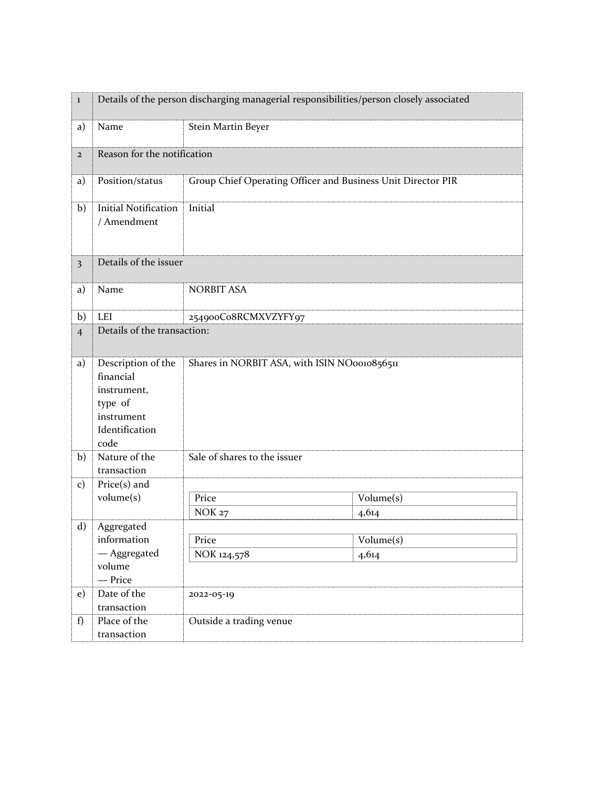| $\bf{l}$       | Details of the person discharging managerial responsibilities/person closely associated           |                                                              |                                        |  |  |  |
|----------------|---------------------------------------------------------------------------------------------------|--------------------------------------------------------------|----------------------------------------|--|--|--|
| a)             | Name                                                                                              | Stein Martin Beyer                                           |                                        |  |  |  |
| $\mathbf{2}$   |                                                                                                   | Reason for the notification                                  |                                        |  |  |  |
| a)             | Position/status                                                                                   | Group Chief Operating Officer and Business Unit Director PIR |                                        |  |  |  |
| b)             | <b>Initial Notification</b><br>/ Amendment                                                        | Initial                                                      |                                        |  |  |  |
| 3              | Details of the issuer                                                                             |                                                              |                                        |  |  |  |
| a)             | Name                                                                                              | <b>NORBIT ASA</b>                                            |                                        |  |  |  |
| b)             | LEI                                                                                               | 254900Co8RCMXVZYFY97                                         |                                        |  |  |  |
| $\overline{4}$ | Details of the transaction:                                                                       |                                                              |                                        |  |  |  |
| a)             | Description of the<br>financial<br>instrument,<br>type of<br>instrument<br>Identification<br>code | Shares in NORBIT ASA, with ISIN NO0010856511                 |                                        |  |  |  |
| b)             | Nature of the<br>transaction                                                                      | Sale of shares to the issuer                                 |                                        |  |  |  |
| $\mathbf{c})$  | $Price(s)$ and                                                                                    |                                                              |                                        |  |  |  |
|                | volume(s)                                                                                         | Price                                                        | Volume(s)                              |  |  |  |
|                |                                                                                                   | <b>NOK 27</b>                                                | 4,614                                  |  |  |  |
| $\mathbf{d}$   | Aggregated<br>information                                                                         | Price                                                        |                                        |  |  |  |
|                | - Aggregated                                                                                      | NOK 124,578                                                  | $\overline{\text{Volume}}(s)$<br>4,614 |  |  |  |
|                | volume                                                                                            |                                                              |                                        |  |  |  |
| e)             | - Price<br>Date of the                                                                            | 2022-05-19                                                   |                                        |  |  |  |
|                | transaction                                                                                       |                                                              |                                        |  |  |  |
| f)             | Place of the                                                                                      | Outside a trading venue                                      |                                        |  |  |  |
|                | transaction                                                                                       |                                                              |                                        |  |  |  |